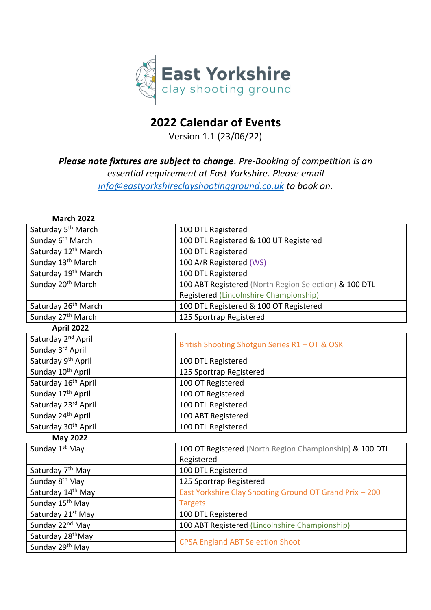

## **2022 Calendar of Events**

Version 1.1 (23/06/22)

## *Please note fixtures are subject to change. Pre-Booking of competition is an essential requirement at East Yorkshire. Please email [info@eastyorkshireclayshootingground.co.uk](mailto:info@eastyorkshireclayshootingground.co.uk) to book on.*

| <b>March 2022</b>               |                                                         |
|---------------------------------|---------------------------------------------------------|
| Saturday 5 <sup>th</sup> March  | 100 DTL Registered                                      |
| Sunday 6 <sup>th</sup> March    | 100 DTL Registered & 100 UT Registered                  |
| Saturday 12 <sup>th</sup> March | 100 DTL Registered                                      |
| Sunday 13 <sup>th</sup> March   | 100 A/R Registered (WS)                                 |
| Saturday 19th March             | 100 DTL Registered                                      |
| Sunday 20 <sup>th</sup> March   | 100 ABT Registered (North Region Selection) & 100 DTL   |
|                                 | Registered (Lincolnshire Championship)                  |
| Saturday 26 <sup>th</sup> March | 100 DTL Registered & 100 OT Registered                  |
| Sunday 27 <sup>th</sup> March   | 125 Sportrap Registered                                 |
| <b>April 2022</b>               |                                                         |
| Saturday 2 <sup>nd</sup> April  |                                                         |
| Sunday 3rd April                | British Shooting Shotgun Series R1 - OT & OSK           |
| Saturday 9 <sup>th</sup> April  | 100 DTL Registered                                      |
| Sunday 10 <sup>th</sup> April   | 125 Sportrap Registered                                 |
| Saturday 16 <sup>th</sup> April | 100 OT Registered                                       |
| Sunday 17 <sup>th</sup> April   | 100 OT Registered                                       |
| Saturday 23rd April             | 100 DTL Registered                                      |
| Sunday 24 <sup>th</sup> April   | 100 ABT Registered                                      |
| Saturday 30 <sup>th</sup> April | 100 DTL Registered                                      |
| <b>May 2022</b>                 |                                                         |
| Sunday 1st May                  | 100 OT Registered (North Region Championship) & 100 DTL |
|                                 | Registered                                              |
| Saturday 7 <sup>th</sup> May    | 100 DTL Registered                                      |
| Sunday 8 <sup>th</sup> May      | 125 Sportrap Registered                                 |
| Saturday 14 <sup>th</sup> May   | East Yorkshire Clay Shooting Ground OT Grand Prix - 200 |
| Sunday 15 <sup>th</sup> May     | <b>Targets</b>                                          |
| Saturday 21 <sup>st</sup> May   | 100 DTL Registered                                      |
| Sunday 22 <sup>nd</sup> May     | 100 ABT Registered (Lincolnshire Championship)          |
| Saturday 28 <sup>th</sup> May   | <b>CPSA England ABT Selection Shoot</b>                 |
| Sunday 29 <sup>th</sup> May     |                                                         |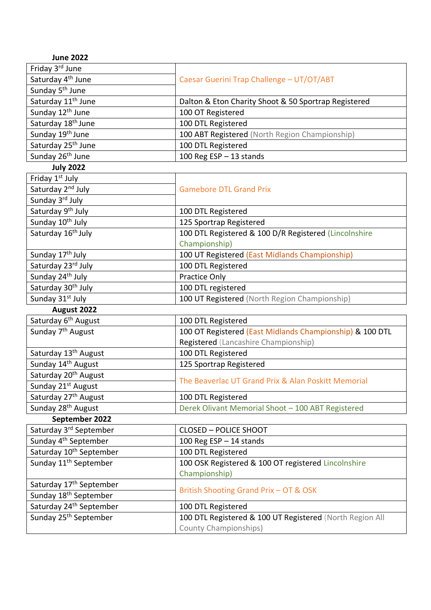| <b>June 2022</b>                    |                                                          |
|-------------------------------------|----------------------------------------------------------|
| Friday 3rd June                     |                                                          |
| Saturday 4 <sup>th</sup> June       | Caesar Guerini Trap Challenge - UT/OT/ABT                |
| Sunday 5 <sup>th</sup> June         |                                                          |
| Saturday 11 <sup>th</sup> June      | Dalton & Eton Charity Shoot & 50 Sportrap Registered     |
| Sunday 12 <sup>th</sup> June        | 100 OT Registered                                        |
| Saturday 18 <sup>th</sup> June      | 100 DTL Registered                                       |
| Sunday 19 <sup>th</sup> June        | 100 ABT Registered (North Region Championship)           |
| Saturday 25 <sup>th</sup> June      | 100 DTL Registered                                       |
| Sunday 26 <sup>th</sup> June        | 100 Reg $ESP - 13$ stands                                |
| <b>July 2022</b>                    |                                                          |
| Friday 1 <sup>st</sup> July         |                                                          |
| Saturday 2 <sup>nd</sup> July       | <b>Gamebore DTL Grand Prix</b>                           |
| Sunday 3rd July                     |                                                          |
| Saturday 9 <sup>th</sup> July       | 100 DTL Registered                                       |
| Sunday 10 <sup>th</sup> July        | 125 Sportrap Registered                                  |
| Saturday 16 <sup>th</sup> July      | 100 DTL Registered & 100 D/R Registered (Lincolnshire    |
|                                     | Championship)                                            |
| Sunday 17 <sup>th</sup> July        | 100 UT Registered (East Midlands Championship)           |
| Saturday 23rd July                  | 100 DTL Registered                                       |
| Sunday 24 <sup>th</sup> July        | Practice Only                                            |
| Saturday 30 <sup>th</sup> July      | 100 DTL registered                                       |
| Sunday 31 <sup>st</sup> July        | 100 UT Registered (North Region Championship)            |
| August 2022                         |                                                          |
| Saturday 6 <sup>th</sup> August     | 100 DTL Registered                                       |
| Sunday 7 <sup>th</sup> August       | 100 OT Registered (East Midlands Championship) & 100 DTL |
|                                     | Registered (Lancashire Championship)                     |
| Saturday 13 <sup>th</sup> August    | 100 DTL Registered                                       |
| Sunday 14th August                  | 125 Sportrap Registered                                  |
| Saturday 20 <sup>th</sup> August    |                                                          |
| Sunday 21 <sup>st</sup> August      | The Beaverlac UT Grand Prix & Alan Poskitt Memorial      |
| Saturday 27 <sup>th</sup> August    | 100 DTL Registered                                       |
| Sunday 28 <sup>th</sup> August      | Derek Olivant Memorial Shoot - 100 ABT Registered        |
| September 2022                      |                                                          |
| Saturday 3rd September              | <b>CLOSED - POLICE SHOOT</b>                             |
| Sunday 4 <sup>th</sup> September    | 100 Reg ESP $-$ 14 stands                                |
| Saturday 10 <sup>th</sup> September | 100 DTL Registered                                       |
| Sunday 11 <sup>th</sup> September   | 100 OSK Registered & 100 OT registered Lincolnshire      |
|                                     | Championship)                                            |
| Saturday 17 <sup>th</sup> September |                                                          |
| Sunday 18 <sup>th</sup> September   | British Shooting Grand Prix - OT & OSK                   |
| Saturday 24 <sup>th</sup> September | 100 DTL Registered                                       |
| Sunday 25 <sup>th</sup> September   | 100 DTL Registered & 100 UT Registered (North Region All |
|                                     | <b>County Championships)</b>                             |